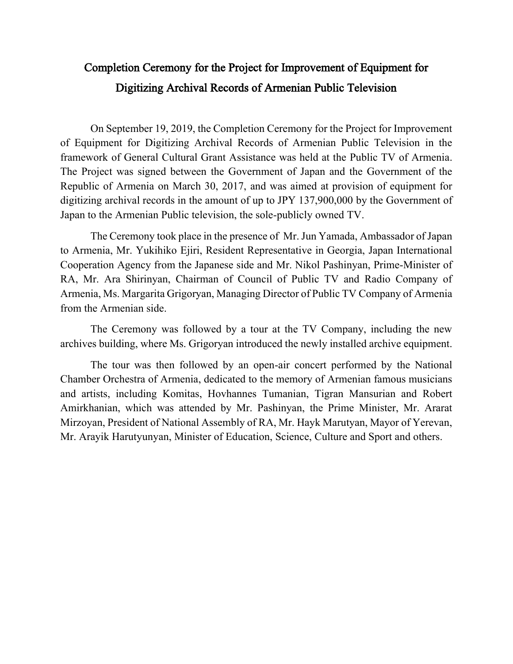## Completion Ceremony for the Project for Improvement of Equipment for Digitizing Archival Records of Armenian Public Television

On September 19, 2019, the Completion Ceremony for the Project for Improvement of Equipment for Digitizing Archival Records of Armenian Public Television in the framework of General Cultural Grant Assistance was held at the Public TV of Armenia. The Project was signed between the Government of Japan and the Government of the Republic of Armenia on March 30, 2017, and was aimed at provision of equipment for digitizing archival records in the amount of up to JPY 137,900,000 by the Government of Japan to the Armenian Public television, the sole-publicly owned TV.

The Ceremony took place in the presence of Mr. Jun Yamada, Ambassador of Japan to Armenia, Mr. Yukihiko Ejiri, Resident Representative in Georgia, Japan International Cooperation Agency from the Japanese side and Mr. Nikol Pashinyan, Prime-Minister of RA, Mr. Ara Shirinyan, Chairman of Council of Public TV and Radio Company of Armenia, Ms. Margarita Grigoryan, Managing Director of Public TV Company of Armenia from the Armenian side.

The Ceremony was followed by a tour at the TV Company, including the new archives building, where Ms. Grigoryan introduced the newly installed archive equipment.

The tour was then followed by an open-air concert performed by the National Chamber Orchestra of Armenia, dedicated to the memory of Armenian famous musicians and artists, including Komitas, Hovhannes Tumanian, Tigran Mansurian and Robert Amirkhanian, which was attended by Mr. Pashinyan, the Prime Minister, Mr. Ararat Mirzoyan, President of National Assembly of RA, Mr. Hayk Marutyan, Mayor of Yerevan, Mr. Arayik Harutyunyan, Minister of Education, Science, Culture and Sport and others.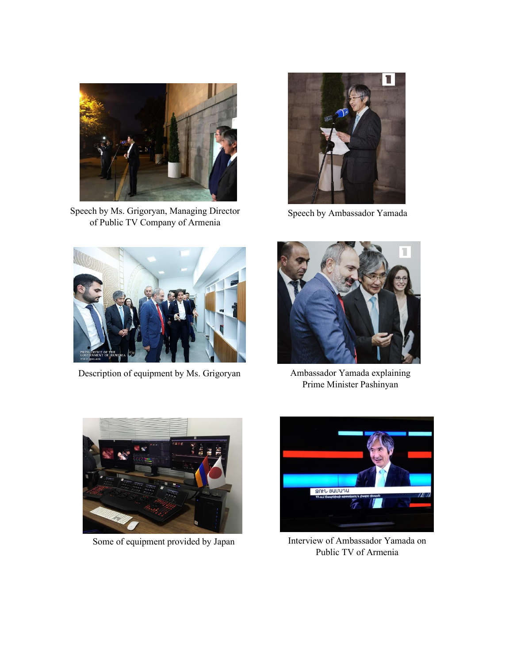

Speech by Ms. Grigoryan, Managing Director of Public TV Company of Armenia



Speech by Ambassador Yamada



Description of equipment by Ms. Grigoryan Ambassador Yamada explaining



Prime Minister Pashinyan



Some of equipment provided by Japan



Interview of Ambassador Yamada on Public TV of Armenia